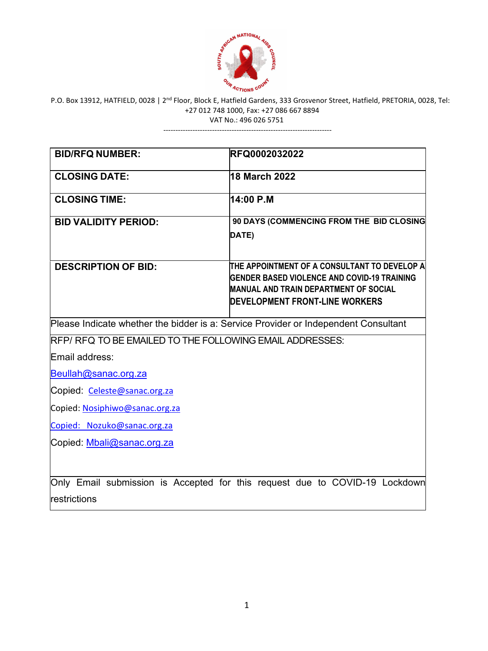

---------------------------------------------------------------------

| <b>BID/RFQ NUMBER:</b>                                                              | RFQ0002032022                                                                                                                                                                        |  |  |  |
|-------------------------------------------------------------------------------------|--------------------------------------------------------------------------------------------------------------------------------------------------------------------------------------|--|--|--|
| <b>CLOSING DATE:</b>                                                                | 18 March 2022                                                                                                                                                                        |  |  |  |
| <b>CLOSING TIME:</b>                                                                | 14:00 P.M                                                                                                                                                                            |  |  |  |
| <b>BID VALIDITY PERIOD:</b>                                                         | 90 DAYS (COMMENCING FROM THE BID CLOSING<br>DATE)                                                                                                                                    |  |  |  |
| <b>DESCRIPTION OF BID:</b>                                                          | THE APPOINTMENT OF A CONSULTANT TO DEVELOP A<br><b>GENDER BASED VIOLENCE AND COVID-19 TRAINING</b><br><b>MANUAL AND TRAIN DEPARTMENT OF SOCIAL</b><br>DEVELOPMENT FRONT-LINE WORKERS |  |  |  |
| Please Indicate whether the bidder is a: Service Provider or Independent Consultant |                                                                                                                                                                                      |  |  |  |
| RFP/RFQ TO BE EMAILED TO THE FOLLOWING EMAIL ADDRESSES:                             |                                                                                                                                                                                      |  |  |  |
| Email address:                                                                      |                                                                                                                                                                                      |  |  |  |
| Beullah@sanac.org.za                                                                |                                                                                                                                                                                      |  |  |  |
| Copied: Celeste@sanac.org.za                                                        |                                                                                                                                                                                      |  |  |  |
| Copied: Nosiphiwo@sanac.org.za                                                      |                                                                                                                                                                                      |  |  |  |
| Copied: Nozuko@sanac.org.za                                                         |                                                                                                                                                                                      |  |  |  |
| Copied: Mbali@sanac.org.za                                                          |                                                                                                                                                                                      |  |  |  |
| restrictions                                                                        | Only Email submission is Accepted for this request due to COVID-19 Lockdown                                                                                                          |  |  |  |

 $\mathbf{I}$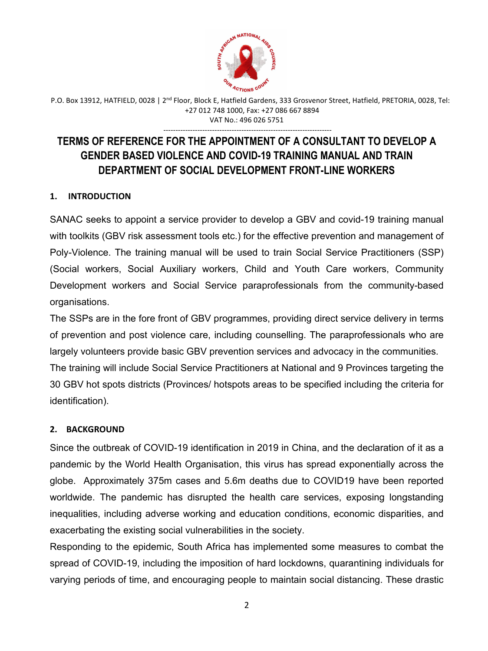

---------------------------------------------------------------------

# **TERMS OF REFERENCE FOR THE APPOINTMENT OF A CONSULTANT TO DEVELOP A GENDER BASED VIOLENCE AND COVID-19 TRAINING MANUAL AND TRAIN DEPARTMENT OF SOCIAL DEVELOPMENT FRONT-LINE WORKERS**

# **1. INTRODUCTION**

SANAC seeks to appoint a service provider to develop a GBV and covid-19 training manual with toolkits (GBV risk assessment tools etc.) for the effective prevention and management of Poly-Violence. The training manual will be used to train Social Service Practitioners (SSP) (Social workers, Social Auxiliary workers, Child and Youth Care workers, Community Development workers and Social Service paraprofessionals from the community-based organisations.

The SSPs are in the fore front of GBV programmes, providing direct service delivery in terms of prevention and post violence care, including counselling. The paraprofessionals who are largely volunteers provide basic GBV prevention services and advocacy in the communities. The training will include Social Service Practitioners at National and 9 Provinces targeting the 30 GBV hot spots districts (Provinces/ hotspots areas to be specified including the criteria for identification).

# **2. BACKGROUND**

Since the outbreak of COVID-19 identification in 2019 in China, and the declaration of it as a pandemic by the World Health Organisation, this virus has spread exponentially across the globe. Approximately 375m cases and 5.6m deaths due to COVID19 have been reported worldwide. The pandemic has disrupted the health care services, exposing longstanding inequalities, including adverse working and education conditions, economic disparities, and exacerbating the existing social vulnerabilities in the society.

Responding to the epidemic, South Africa has implemented some measures to combat the spread of COVID-19, including the imposition of hard lockdowns, quarantining individuals for varying periods of time, and encouraging people to maintain social distancing. These drastic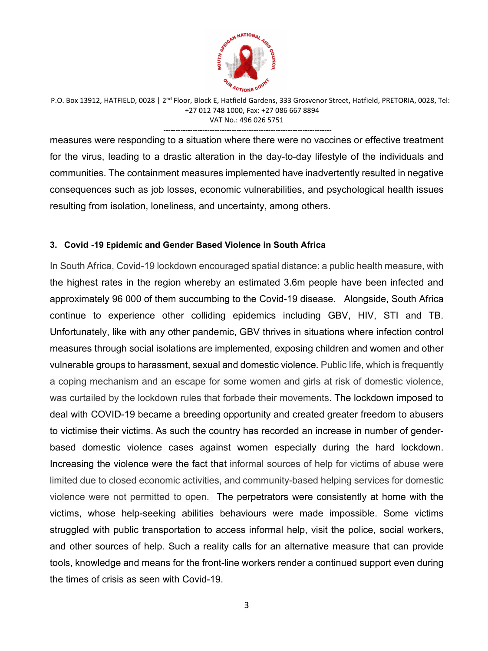

---------------------------------------------------------------------

measures were responding to a situation where there were no vaccines or effective treatment for the virus, leading to a drastic alteration in the day-to-day lifestyle of the individuals and communities. The containment measures implemented have inadvertently resulted in negative consequences such as job losses, economic vulnerabilities, and psychological health issues resulting from isolation, loneliness, and uncertainty, among others.

#### **3. Covid -19 Epidemic and Gender Based Violence in South Africa**

In South Africa, Covid-19 lockdown encouraged spatial distance: a public health measure, with the highest rates in the region whereby an estimated 3.6m people have been infected and approximately 96 000 of them succumbing to the Covid-19 disease. Alongside, South Africa continue to experience other colliding epidemics including GBV, HIV, STI and TB. Unfortunately, like with any other pandemic, GBV thrives in situations where infection control measures through social isolations are implemented, exposing children and women and other vulnerable groups to harassment, sexual and domestic violence. Public life, which is frequently a coping mechanism and an escape for some women and girls at risk of domestic violence, was curtailed by the lockdown rules that forbade their movements. The lockdown imposed to deal with COVID-19 became a breeding opportunity and created greater freedom to abusers to victimise their victims. As such the country has recorded an increase in number of genderbased domestic violence cases against women especially during the hard lockdown. Increasing the violence were the fact that informal sources of help for victims of abuse were limited due to closed economic activities, and community-based helping services for domestic violence were not permitted to open. The perpetrators were consistently at home with the victims, whose help-seeking abilities behaviours were made impossible. Some victims struggled with public transportation to access informal help, visit the police, social workers, and other sources of help. Such a reality calls for an alternative measure that can provide tools, knowledge and means for the front-line workers render a continued support even during the times of crisis as seen with Covid-19.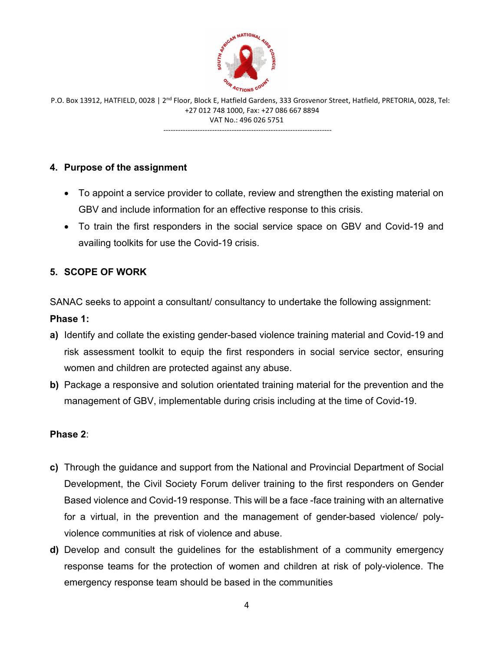

P.O. Box 13912, HATFIELD, 0028 | 2<sup>nd</sup> Floor, Block E, Hatfield Gardens, 333 Grosvenor Street, Hatfield, PRETORIA, 0028, Tel: +27 012 748 1000, Fax: +27 086 667 8894 VAT No.: 496 026 5751 ---------------------------------------------------------------------

### **4. Purpose of the assignment**

- To appoint a service provider to collate, review and strengthen the existing material on GBV and include information for an effective response to this crisis.
- To train the first responders in the social service space on GBV and Covid-19 and availing toolkits for use the Covid-19 crisis.

### **5. SCOPE OF WORK**

SANAC seeks to appoint a consultant/ consultancy to undertake the following assignment: **Phase 1:**

- **a)** Identify and collate the existing gender-based violence training material and Covid-19 and risk assessment toolkit to equip the first responders in social service sector, ensuring women and children are protected against any abuse.
- **b)** Package a responsive and solution orientated training material for the prevention and the management of GBV, implementable during crisis including at the time of Covid-19.

#### **Phase 2**:

- **c)** Through the guidance and support from the National and Provincial Department of Social Development, the Civil Society Forum deliver training to the first responders on Gender Based violence and Covid-19 response. This will be a face -face training with an alternative for a virtual, in the prevention and the management of gender-based violence/ polyviolence communities at risk of violence and abuse.
- **d)** Develop and consult the guidelines for the establishment of a community emergency response teams for the protection of women and children at risk of poly-violence. The emergency response team should be based in the communities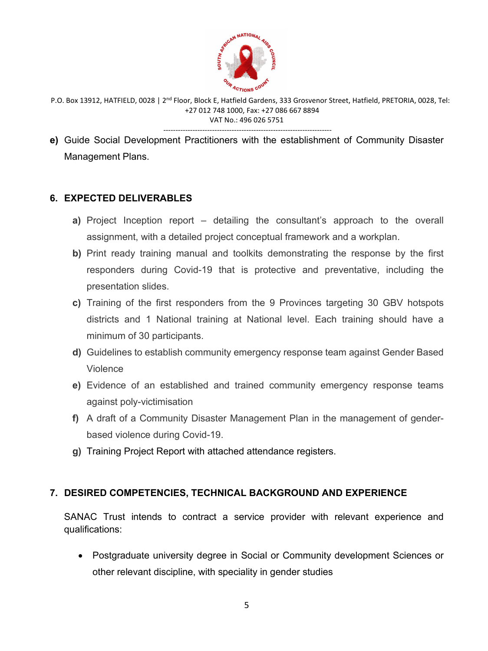

- ---------------------------------------------------------------------
- **e)** Guide Social Development Practitioners with the establishment of Community Disaster Management Plans.

### **6. EXPECTED DELIVERABLES**

- **a)** Project Inception report detailing the consultant's approach to the overall assignment, with a detailed project conceptual framework and a workplan.
- **b)** Print ready training manual and toolkits demonstrating the response by the first responders during Covid-19 that is protective and preventative, including the presentation slides.
- **c)** Training of the first responders from the 9 Provinces targeting 30 GBV hotspots districts and 1 National training at National level. Each training should have a minimum of 30 participants.
- **d)** Guidelines to establish community emergency response team against Gender Based Violence
- **e)** Evidence of an established and trained community emergency response teams against poly-victimisation
- **f)** A draft of a Community Disaster Management Plan in the management of genderbased violence during Covid-19.
- **g)** Training Project Report with attached attendance registers.

#### **7. DESIRED COMPETENCIES, TECHNICAL BACKGROUND AND EXPERIENCE**

SANAC Trust intends to contract a service provider with relevant experience and qualifications:

• Postgraduate university degree in Social or Community development Sciences or other relevant discipline, with speciality in gender studies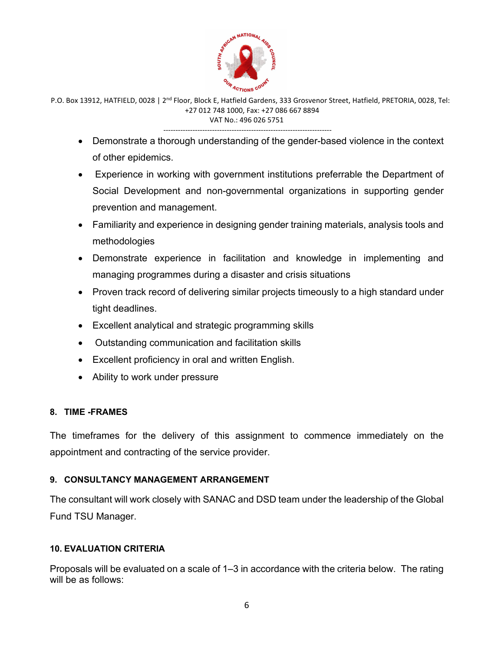

---------------------------------------------------------------------

- Demonstrate a thorough understanding of the gender-based violence in the context of other epidemics.
- Experience in working with government institutions preferrable the Department of Social Development and non-governmental organizations in supporting gender prevention and management.
- Familiarity and experience in designing gender training materials, analysis tools and methodologies
- Demonstrate experience in facilitation and knowledge in implementing and managing programmes during a disaster and crisis situations
- Proven track record of delivering similar projects timeously to a high standard under tight deadlines.
- Excellent analytical and strategic programming skills
- Outstanding communication and facilitation skills
- Excellent proficiency in oral and written English.
- Ability to work under pressure

#### **8. TIME -FRAMES**

The timeframes for the delivery of this assignment to commence immediately on the appointment and contracting of the service provider.

# **9. CONSULTANCY MANAGEMENT ARRANGEMENT**

The consultant will work closely with SANAC and DSD team under the leadership of the Global Fund TSU Manager.

#### **10. EVALUATION CRITERIA**

Proposals will be evaluated on a scale of 1–3 in accordance with the criteria below. The rating will be as follows: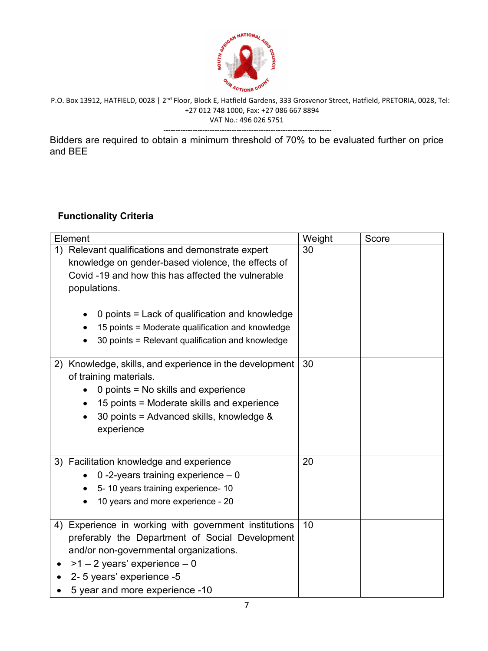

Bidders are required to obtain a minimum threshold of 70% to be evaluated further on price and BEE

# **Functionality Criteria**

| Element                                                                                                                                                                                                                                                 | Weight | Score |
|---------------------------------------------------------------------------------------------------------------------------------------------------------------------------------------------------------------------------------------------------------|--------|-------|
| Relevant qualifications and demonstrate expert<br>1)<br>knowledge on gender-based violence, the effects of<br>Covid -19 and how this has affected the vulnerable<br>populations.<br>0 points = Lack of qualification and knowledge                      | 30     |       |
| 15 points = Moderate qualification and knowledge<br>$\bullet$<br>30 points = Relevant qualification and knowledge                                                                                                                                       |        |       |
| 2) Knowledge, skills, and experience in the development<br>of training materials.<br>0 points = No skills and experience<br>15 points = Moderate skills and experience<br>30 points = Advanced skills, knowledge &<br>experience                        | 30     |       |
| 3) Facilitation knowledge and experience<br>0 -2-years training experience $-0$<br>5-10 years training experience-10<br>10 years and more experience - 20                                                                                               | 20     |       |
| Experience in working with government institutions<br>4)<br>preferably the Department of Social Development<br>and/or non-governmental organizations.<br>$>1 - 2$ years' experience $-0$<br>2- 5 years' experience -5<br>5 year and more experience -10 | 10     |       |